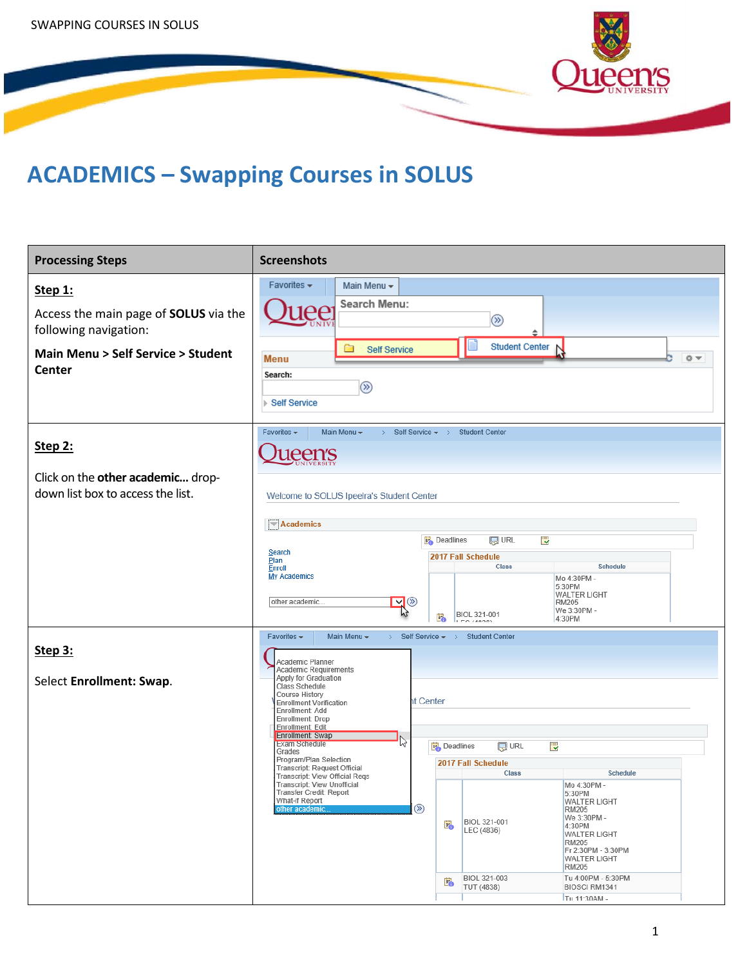

## **ACADEMICS – Swapping Courses in SOLUS**

| <b>Processing Steps</b>                                                | <b>Screenshots</b>                                                                                                                                                                                                                                                                                                                                                                                                                                                                                                        |
|------------------------------------------------------------------------|---------------------------------------------------------------------------------------------------------------------------------------------------------------------------------------------------------------------------------------------------------------------------------------------------------------------------------------------------------------------------------------------------------------------------------------------------------------------------------------------------------------------------|
| Step 1:                                                                | Main Menu -<br>Favorites $\star$                                                                                                                                                                                                                                                                                                                                                                                                                                                                                          |
| Access the main page of SOLUS via the<br>following navigation:         | Search Menu:<br>$\bm{\rho} \bm{\rho}$<br>$^{\circledR}$<br>≑                                                                                                                                                                                                                                                                                                                                                                                                                                                              |
| <b>Main Menu &gt; Self Service &gt; Student</b><br><b>Center</b>       | <b>Student Center</b><br>▭<br><b>Self Service</b><br>◎▼<br><b>Menu</b><br>Search:<br>$^{\circledR}$<br>▶ Self Service                                                                                                                                                                                                                                                                                                                                                                                                     |
| Step 2:                                                                | Favorites -<br>Main Menu -<br>> Self Service $\star$ > Student Center<br>1een's                                                                                                                                                                                                                                                                                                                                                                                                                                           |
| Click on the other academic drop-<br>down list box to access the list. | Welcome to SOLUS Ipeelra's Student Center<br>Academics                                                                                                                                                                                                                                                                                                                                                                                                                                                                    |
|                                                                        | <b>同 URL</b><br><b>B</b> Deadlines<br>最<br>Search<br>2017 Fall Schedule<br>Plan<br>Class<br><b>Schedule</b><br>Enroll<br>My Academics<br>Mo 4:30PM -<br>5:30PM<br><b>WALTER LIGHT</b><br>$\overline{\mathbf{y}}$ $\otimes$<br>other academic.<br><b>RM205</b><br>We 3:30PM -<br><b>BIOL 321-001</b><br>Ë.<br>4:30PM<br><b>IFO MODES</b>                                                                                                                                                                                   |
| Step 3:<br>Select Enrollment: Swap.                                    | Favorites $\star$<br>Main Menu -<br>$>$ Self Service $\star$ $>$<br><b>Student Center</b><br>Academic Planner<br>Academic Requirements<br>Apply for Graduation<br>Class Schedule<br>Course History<br>ht Center<br><b>Enrollment Verification</b><br>Enrollment: Add<br>Enrollment: Drop<br>Enrollment: Edit                                                                                                                                                                                                              |
|                                                                        | Enrollment: Swap<br><b>Exam Schedule</b><br>hz<br>i.<br><b>R</b> URL<br><b>Deadlines</b><br>Grades<br>Program/Plan Selection<br>2017 Fall Schedule<br>Transcript: Request Official<br><b>Class</b><br><b>Schedule</b><br>Transcript: View Official Regs<br>Transcript: View Unofficial<br>Mo 4:30PM -<br>Transfer Credit: Report<br>5:30PM<br>What-if Report<br><b>WALTER LIGHT</b><br>$\circledR$<br>other academic.<br><b>RM205</b><br>We 3:30PM -<br>BIOL 321-001<br>E.<br>4:30PM<br>LEC (4836)<br><b>WALTER LIGHT</b> |
|                                                                        | <b>RM205</b><br>Fr 2:30PM - 3:30PM<br><b>WALTER LIGHT</b><br><b>RM205</b><br>BIOL 321-003<br>Tu 4:00PM - 5:30PM<br>E.<br>TUT (4838)<br>BIOSCI RM1341<br>Tu 11:30AM -                                                                                                                                                                                                                                                                                                                                                      |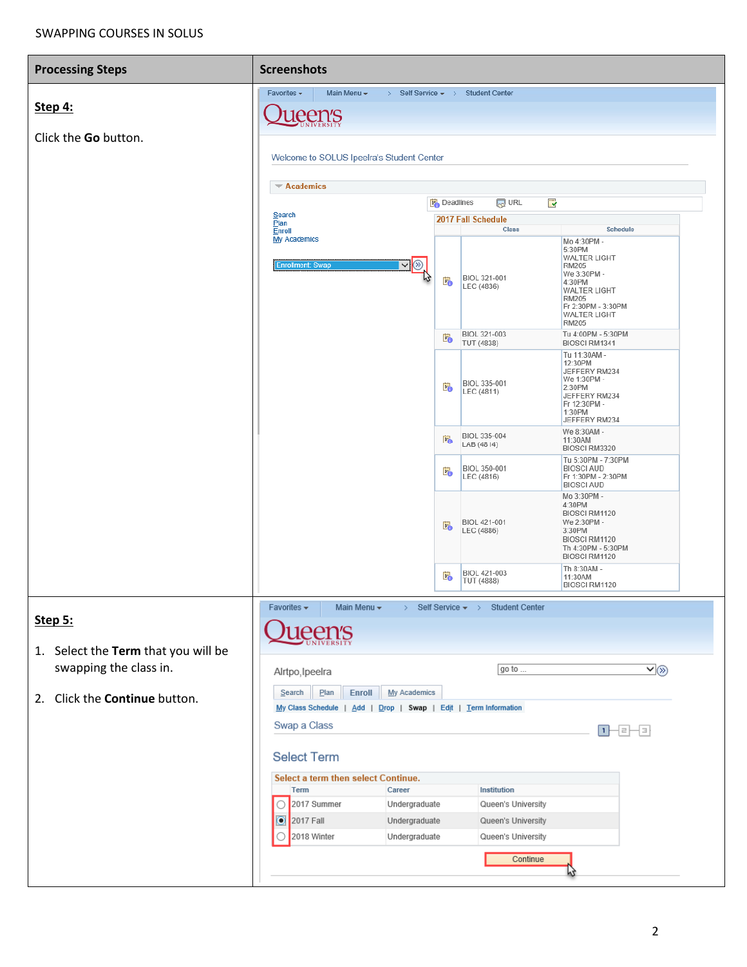## SWAPPING COURSES IN SOLUS

| <b>Processing Steps</b>                        | <b>Screenshots</b>                        |                                                                                                                                                                                                                                                                                                                                                                                                                                                                                                                                                                                                                                                                                                                                                                                                                                                                                                                                                                                                                                                                                     |          |  |  |  |  |  |  |
|------------------------------------------------|-------------------------------------------|-------------------------------------------------------------------------------------------------------------------------------------------------------------------------------------------------------------------------------------------------------------------------------------------------------------------------------------------------------------------------------------------------------------------------------------------------------------------------------------------------------------------------------------------------------------------------------------------------------------------------------------------------------------------------------------------------------------------------------------------------------------------------------------------------------------------------------------------------------------------------------------------------------------------------------------------------------------------------------------------------------------------------------------------------------------------------------------|----------|--|--|--|--|--|--|
|                                                | Favorites $\star$<br>Main Menu $\star$    |                                                                                                                                                                                                                                                                                                                                                                                                                                                                                                                                                                                                                                                                                                                                                                                                                                                                                                                                                                                                                                                                                     |          |  |  |  |  |  |  |
| Step 4:                                        | ueen's                                    |                                                                                                                                                                                                                                                                                                                                                                                                                                                                                                                                                                                                                                                                                                                                                                                                                                                                                                                                                                                                                                                                                     |          |  |  |  |  |  |  |
| Click the Go button.                           |                                           |                                                                                                                                                                                                                                                                                                                                                                                                                                                                                                                                                                                                                                                                                                                                                                                                                                                                                                                                                                                                                                                                                     |          |  |  |  |  |  |  |
|                                                | Welcome to SOLUS Ipeelra's Student Center | <b>同URL</b><br><b>R</b><br><b>B</b> <sup>B</sup> Deadlines<br>2017 Fall Schedule<br>Class<br><b>Schedule</b><br>Mo 4:30PM -<br>5:30PM<br><b>WALTER LIGHT</b><br>$\vee$ $\otimes$<br><b>RM205</b><br>We 3:30PM -<br>BIOL 321-001<br>E.<br>4:30PM<br>LEC (4836)<br><b>WALTER LIGHT</b><br><b>RM205</b><br>Fr 2:30PM - 3:30PM<br><b>WALTER LIGHT</b><br><b>RM205</b><br>BIOL 321-003<br>Tu 4:00PM - 5:30PM<br>B.<br>TUT (4838)<br>BIOSCI RM1341<br>Tu 11:30AM -<br>12:30PM<br>JEFFERY RM234<br>We 1:30PM -<br>BIOL 335-001<br>Eò<br>2:30PM<br>LEC (4811)                                                                                                                                                                                                                                                                                                                                                                                                                                                                                                                               |          |  |  |  |  |  |  |
|                                                | $\blacktriangledown$ Academics            |                                                                                                                                                                                                                                                                                                                                                                                                                                                                                                                                                                                                                                                                                                                                                                                                                                                                                                                                                                                                                                                                                     |          |  |  |  |  |  |  |
|                                                | Search                                    | > Self Service $\star$ > Student Center<br><b>My Academics</b><br>JEFFERY RM234<br>Fr 12:30PM -<br>1:30PM<br>JEFFERY RM234<br>We 8:30AM -<br>BIOL 335-004<br>E.<br>11:30AM<br>LAB (4814)<br>BIOSCI RM3320<br>Tu 5:30PM - 7:30PM<br>BIOL 350-001<br><b>BIOSCI AUD</b><br>E.<br>LEC (4816)<br>Fr 1:30PM - 2:30PM<br><b>BIOSCI AUD</b><br>Mo 3:30PM -<br>4:30PM<br>BIOSCI RM1120<br>BIOL 421-001<br>We 2:30PM -<br>E.<br>LEC (4886)<br>3:30PM<br>BIOSCI RM1120<br>Th 4:30PM - 5:30PM<br>BIOSCI RM1120<br>Th 8:30AM -<br>BIOL 421-003<br>E.<br>11:30AM<br>TUT (4888)<br>BIOSCI RM1120<br>Main Menu v<br>$\angle$ Self Service $\star$ $\rightarrow$<br><b>Student Center</b><br>1een's<br>$\overline{\mathsf{v}}(\overline{\mathsf{v}})$<br>go to<br>Plan<br>Enroll<br>My Academics<br>My Class Schedule   Add   Drop   Swap   Edit   Term Information<br>−−≡−∃<br><b>Select Term</b><br>Select a term then select Continue.<br>Career<br>Institution<br>Undergraduate<br>Queen's University<br>2017 Fall<br>Undergraduate<br>Queen's University<br>Undergraduate<br>Queen's University |          |  |  |  |  |  |  |
|                                                | Plan<br>Enroll                            |                                                                                                                                                                                                                                                                                                                                                                                                                                                                                                                                                                                                                                                                                                                                                                                                                                                                                                                                                                                                                                                                                     |          |  |  |  |  |  |  |
|                                                | <b>Enrollment: Swap</b>                   |                                                                                                                                                                                                                                                                                                                                                                                                                                                                                                                                                                                                                                                                                                                                                                                                                                                                                                                                                                                                                                                                                     |          |  |  |  |  |  |  |
|                                                |                                           |                                                                                                                                                                                                                                                                                                                                                                                                                                                                                                                                                                                                                                                                                                                                                                                                                                                                                                                                                                                                                                                                                     |          |  |  |  |  |  |  |
|                                                |                                           |                                                                                                                                                                                                                                                                                                                                                                                                                                                                                                                                                                                                                                                                                                                                                                                                                                                                                                                                                                                                                                                                                     |          |  |  |  |  |  |  |
|                                                |                                           |                                                                                                                                                                                                                                                                                                                                                                                                                                                                                                                                                                                                                                                                                                                                                                                                                                                                                                                                                                                                                                                                                     |          |  |  |  |  |  |  |
|                                                |                                           |                                                                                                                                                                                                                                                                                                                                                                                                                                                                                                                                                                                                                                                                                                                                                                                                                                                                                                                                                                                                                                                                                     |          |  |  |  |  |  |  |
|                                                |                                           |                                                                                                                                                                                                                                                                                                                                                                                                                                                                                                                                                                                                                                                                                                                                                                                                                                                                                                                                                                                                                                                                                     |          |  |  |  |  |  |  |
|                                                |                                           |                                                                                                                                                                                                                                                                                                                                                                                                                                                                                                                                                                                                                                                                                                                                                                                                                                                                                                                                                                                                                                                                                     |          |  |  |  |  |  |  |
| Step 5:<br>1. Select the Term that you will be | Favorites $\star$                         |                                                                                                                                                                                                                                                                                                                                                                                                                                                                                                                                                                                                                                                                                                                                                                                                                                                                                                                                                                                                                                                                                     |          |  |  |  |  |  |  |
| swapping the class in.                         | Alrtpo, Ipeelra                           |                                                                                                                                                                                                                                                                                                                                                                                                                                                                                                                                                                                                                                                                                                                                                                                                                                                                                                                                                                                                                                                                                     |          |  |  |  |  |  |  |
| 2. Click the <b>Continue</b> button.           | Search                                    |                                                                                                                                                                                                                                                                                                                                                                                                                                                                                                                                                                                                                                                                                                                                                                                                                                                                                                                                                                                                                                                                                     |          |  |  |  |  |  |  |
|                                                | Swap a Class                              |                                                                                                                                                                                                                                                                                                                                                                                                                                                                                                                                                                                                                                                                                                                                                                                                                                                                                                                                                                                                                                                                                     |          |  |  |  |  |  |  |
|                                                |                                           |                                                                                                                                                                                                                                                                                                                                                                                                                                                                                                                                                                                                                                                                                                                                                                                                                                                                                                                                                                                                                                                                                     |          |  |  |  |  |  |  |
|                                                |                                           |                                                                                                                                                                                                                                                                                                                                                                                                                                                                                                                                                                                                                                                                                                                                                                                                                                                                                                                                                                                                                                                                                     |          |  |  |  |  |  |  |
|                                                | <b>Term</b>                               |                                                                                                                                                                                                                                                                                                                                                                                                                                                                                                                                                                                                                                                                                                                                                                                                                                                                                                                                                                                                                                                                                     |          |  |  |  |  |  |  |
|                                                | 2017 Summer<br>О                          |                                                                                                                                                                                                                                                                                                                                                                                                                                                                                                                                                                                                                                                                                                                                                                                                                                                                                                                                                                                                                                                                                     |          |  |  |  |  |  |  |
|                                                | Ö<br>2018 Winter<br>O                     |                                                                                                                                                                                                                                                                                                                                                                                                                                                                                                                                                                                                                                                                                                                                                                                                                                                                                                                                                                                                                                                                                     |          |  |  |  |  |  |  |
|                                                |                                           |                                                                                                                                                                                                                                                                                                                                                                                                                                                                                                                                                                                                                                                                                                                                                                                                                                                                                                                                                                                                                                                                                     | Continue |  |  |  |  |  |  |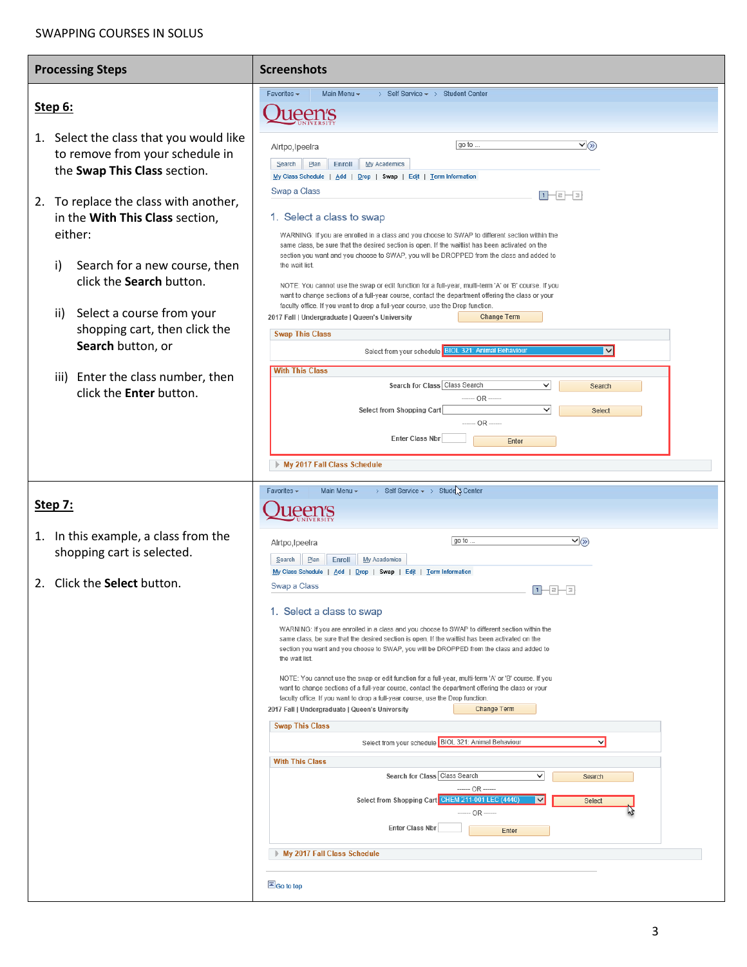## SWAPPING COURSES IN SOLUS

| <b>Processing Steps</b>                                                                                                                                                                                                                                                                                          | <b>Screenshots</b>                                                                                                                                                                                                                                                                                                                                                                                                                                                                                                                                                                                                                                                                                                                                                                                                                                                                                                                                                                                                                                                                                                                                                                                                                                                              |
|------------------------------------------------------------------------------------------------------------------------------------------------------------------------------------------------------------------------------------------------------------------------------------------------------------------|---------------------------------------------------------------------------------------------------------------------------------------------------------------------------------------------------------------------------------------------------------------------------------------------------------------------------------------------------------------------------------------------------------------------------------------------------------------------------------------------------------------------------------------------------------------------------------------------------------------------------------------------------------------------------------------------------------------------------------------------------------------------------------------------------------------------------------------------------------------------------------------------------------------------------------------------------------------------------------------------------------------------------------------------------------------------------------------------------------------------------------------------------------------------------------------------------------------------------------------------------------------------------------|
| Step 6:                                                                                                                                                                                                                                                                                                          | Favorites -<br>Main Menu -<br>> Self Service $\star$ > Student Center<br><i>l</i> een's                                                                                                                                                                                                                                                                                                                                                                                                                                                                                                                                                                                                                                                                                                                                                                                                                                                                                                                                                                                                                                                                                                                                                                                         |
| 1. Select the class that you would like<br>to remove from your schedule in<br>the Swap This Class section.                                                                                                                                                                                                       | $\overline{\triangledown_{(\delta)}}$<br>go to<br>Alrtpo, Ipeelra<br>Plan<br>Enroll<br><b>My Academics</b><br>Search<br>My Class Schedule   Add   Drop   Swap   Edit   Term Information<br>Swap a Class<br>마크라크카                                                                                                                                                                                                                                                                                                                                                                                                                                                                                                                                                                                                                                                                                                                                                                                                                                                                                                                                                                                                                                                                |
| 2. To replace the class with another,<br>in the With This Class section,<br>either:<br>i)<br>Search for a new course, then<br>click the Search button.<br>Select a course from your<br>ii)<br>shopping cart, then click the<br>Search button, or<br>iii) Enter the class number, then<br>click the Enter button. | 1. Select a class to swap<br>WARNING: If you are enrolled in a class and you choose to SWAP to different section within the<br>same class, be sure that the desired section is open. If the waitlist has been activated on the<br>section you want and you choose to SWAP, you will be DROPPED from the class and added to<br>the wait list.<br>NOTE: You cannot use the swap or edit function for a full-year, multi-term 'A' or 'B' course. If you<br>want to change sections of a full-year course, contact the department offering the class or your<br>faculty office. If you want to drop a full-year course, use the Drop function.<br>2017 Fall   Undergraduate   Queen's University<br><b>Change Term</b><br><b>Swap This Class</b><br>Select from your schedule BIOL 321: Animal Behaviour<br>▮◡▮<br><b>With This Class</b><br>Search for Class Class Search<br>$\checkmark$<br>Search<br>----- OR ----<br>$\checkmark$<br>Select from Shopping Cart<br>Select<br>------ OR ------<br><b>Enter Class Nbr</b><br>Enter<br>My 2017 Fall Class Schedule                                                                                                                                                                                                                  |
| Step 7:                                                                                                                                                                                                                                                                                                          | > Self Service > Stude > Center<br>Favorites $\star$<br>Main Menu v                                                                                                                                                                                                                                                                                                                                                                                                                                                                                                                                                                                                                                                                                                                                                                                                                                                                                                                                                                                                                                                                                                                                                                                                             |
| 1. In this example, a class from the<br>shopping cart is selected.<br>Click the Select button.<br>2.                                                                                                                                                                                                             | go to.<br>$\vee$ (x)<br>Alrtpo, Ipeelra<br>Plan<br>Enroll<br>Search<br><b>My Academics</b><br>My Class Schedule<br>Add   Drop   Swap   Edit   Term Information<br>Swap a Class<br> +⊢ =⊢ ∃ <br>1. Select a class to swap<br>WARNING: If you are enrolled in a class and you choose to SWAP to different section within the<br>same class, be sure that the desired section is open. If the waitlist has been activated on the<br>section you want and you choose to SWAP, you will be DROPPED from the class and added to<br>the wait list.<br>NOTE: You cannot use the swap or edit function for a full-year, multi-term 'A' or 'B' course. If you<br>want to change sections of a full-year course, contact the department offering the class or your<br>faculty office. If you want to drop a full-year course, use the Drop function.<br>2017 Fall   Undergraduate   Queen's University<br><b>Change Term</b><br><b>Swap This Class</b><br>Select from your schedule BIOL 321: Animal Behaviour<br>◡<br><b>With This Class</b><br>Search for Class Class Search<br>∨<br>Search<br>$OR -$<br>Select from Shopping Cart CHEM 211-001 LEC (4440)<br>$\vee$<br><b>Select</b><br>------ OR ------<br><b>Enter Class Nbr</b><br>Enter<br>My 2017 Fall Class Schedule<br>Go to top |